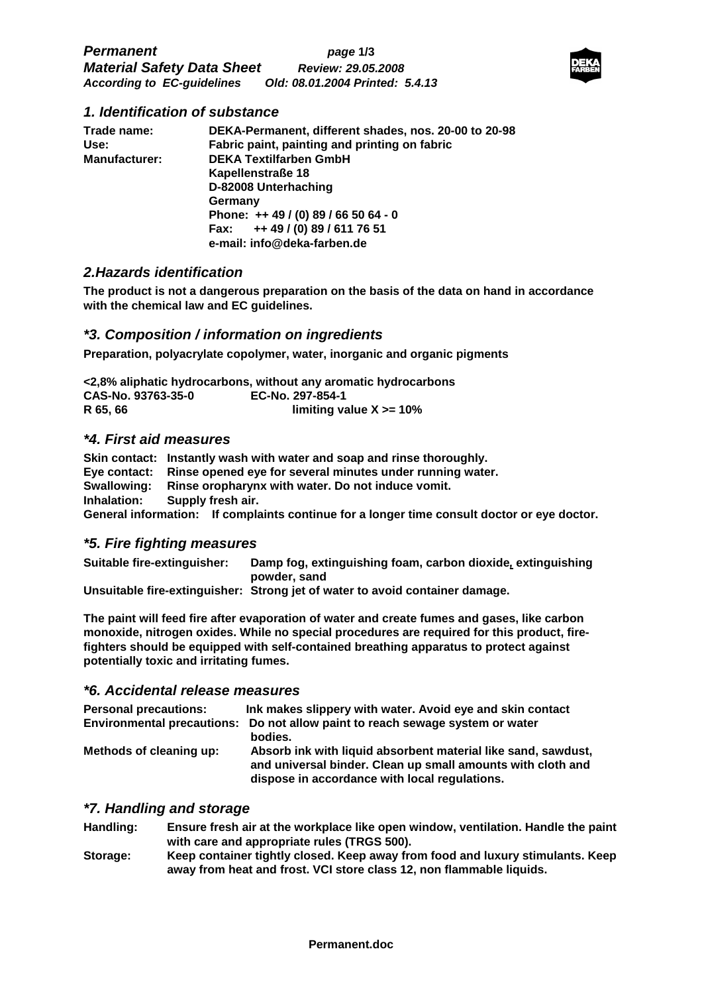

## **1. Identification of substance**

| Trade name:          | DEKA-Permanent, different shades, nos. 20-00 to 20-98 |  |  |
|----------------------|-------------------------------------------------------|--|--|
| Use:                 | Fabric paint, painting and printing on fabric         |  |  |
| <b>Manufacturer:</b> | <b>DEKA Textilfarben GmbH</b>                         |  |  |
|                      | Kapellenstraße 18                                     |  |  |
|                      | D-82008 Unterhaching                                  |  |  |
|                      | Germany                                               |  |  |
|                      | Phone: ++ 49 / (0) 89 / 66 50 64 - 0                  |  |  |
|                      | Fax: ++49 / (0) 89 / 611 76 51                        |  |  |
|                      | e-mail: info@deka-farben.de                           |  |  |

## **2.Hazards identification**

**The product is not a dangerous preparation on the basis of the data on hand in accordance with the chemical law and EC guidelines.** 

## **\*3. Composition / information on ingredients**

**Preparation, polyacrylate copolymer, water, inorganic and organic pigments** 

**<2,8% aliphatic hydrocarbons, without any aromatic hydrocarbons CAS-No. 93763-35-0 EC-No. 297-854-1 R 65, 66 limiting value X >= 10%** 

### **\*4. First aid measures**

**Skin contact: Instantly wash with water and soap and rinse thoroughly. Eye contact: Rinse opened eye for several minutes under running water. Swallowing: Rinse oropharynx with water. Do not induce vomit. Inhalation: Supply fresh air. General information: If complaints continue for a longer time consult doctor or eye doctor.** 

### **\*5. Fire fighting measures**

**Suitable fire-extinguisher: Damp fog, extinguishing foam, carbon dioxide, extinguishing powder, sand** 

**Unsuitable fire-extinguisher: Strong jet of water to avoid container damage.** 

**The paint will feed fire after evaporation of water and create fumes and gases, like carbon monoxide, nitrogen oxides. While no special procedures are required for this product, firefighters should be equipped with self-contained breathing apparatus to protect against potentially toxic and irritating fumes.** 

## **\*6. Accidental release measures**

| <b>Personal precautions:</b> | Ink makes slippery with water. Avoid eye and skin contact                                                                                                                     |
|------------------------------|-------------------------------------------------------------------------------------------------------------------------------------------------------------------------------|
|                              | Environmental precautions: Do not allow paint to reach sewage system or water<br>bodies.                                                                                      |
| Methods of cleaning up:      | Absorb ink with liquid absorbent material like sand, sawdust,<br>and universal binder. Clean up small amounts with cloth and<br>dispose in accordance with local regulations. |

## **\*7. Handling and storage**

- **Handling: Ensure fresh air at the workplace like open window, ventilation. Handle the paint with care and appropriate rules (TRGS 500).**
- **Storage: Keep container tightly closed. Keep away from food and luxury stimulants. Keep away from heat and frost. VCI store class 12, non flammable liquids.**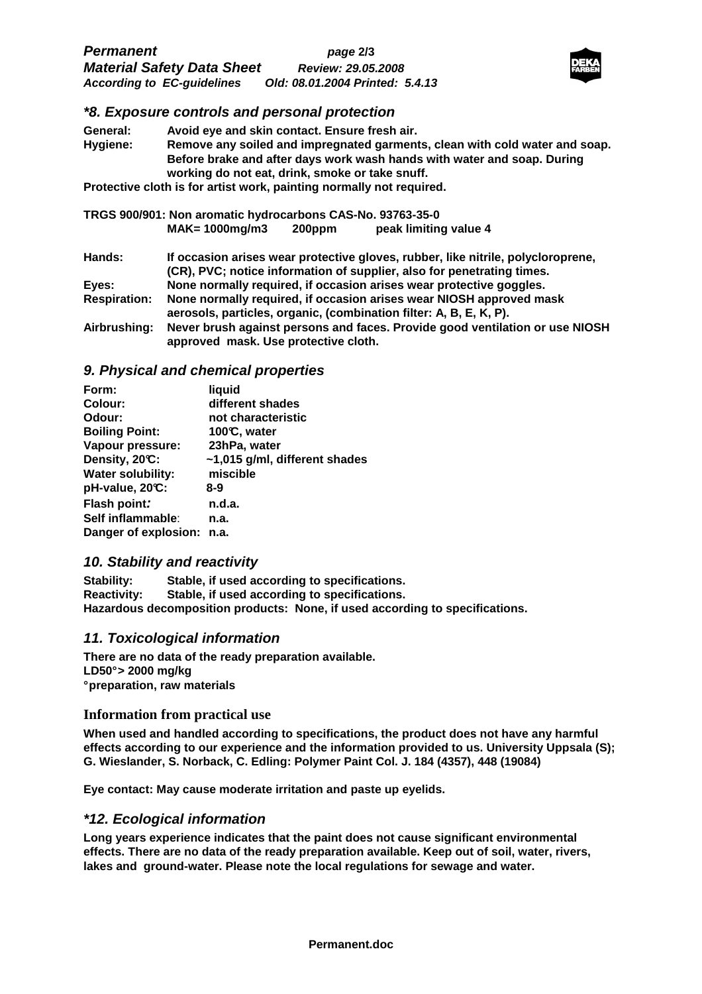| <b>Permanent</b>                  | page 2/3                        |  |
|-----------------------------------|---------------------------------|--|
| <b>Material Safety Data Sheet</b> | <b>Review: 29.05.2008</b>       |  |
| <b>According to EC-guidelines</b> | Old: 08.01.2004 Printed: 5.4.13 |  |



## **\*8. Exposure controls and personal protection**

| General: | Avoid eye and skin contact. Ensure fresh air.                                                                              |
|----------|----------------------------------------------------------------------------------------------------------------------------|
| Hygiene: | Remove any soiled and impregnated garments, clean with cold water and soap.                                                |
|          | Before brake and after days work wash hands with water and soap. During<br>working do not eat, drink, smoke or take snuff. |

**Protective cloth is for artist work, painting normally not required.** 

| TRGS 900/901: Non aromatic hydrocarbons CAS-No. 93763-35-0 |                                                                                                                                                            |        |                                                                     |
|------------------------------------------------------------|------------------------------------------------------------------------------------------------------------------------------------------------------------|--------|---------------------------------------------------------------------|
|                                                            | $MAK = 1000mg/m3$                                                                                                                                          | 200ppm | peak limiting value 4                                               |
| Hands:                                                     | If occasion arises wear protective gloves, rubber, like nitrile, polycloroprene,<br>(CR), PVC; notice information of supplier, also for penetrating times. |        |                                                                     |
| Eyes:                                                      |                                                                                                                                                            |        | None normally required, if occasion arises wear protective goggles. |
| <b>Respiration:</b>                                        | None normally required, if occasion arises wear NIOSH approved mask<br>aerosols, particles, organic, (combination filter: A, B, E, K, P).                  |        |                                                                     |
| Airbrushing:                                               | Never brush against persons and faces. Provide good ventilation or use NIOSH<br>approved mask. Use protective cloth.                                       |        |                                                                     |

### **9. Physical and chemical properties**

| Form:                    | liquid                        |
|--------------------------|-------------------------------|
| Colour:                  | different shades              |
| Odour:                   | not characteristic            |
| <b>Boiling Point:</b>    | 100°C, water                  |
| Vapour pressure:         | 23hPa, water                  |
| Density, 20°C:           | ~1,015 g/ml, different shades |
| <b>Water solubility:</b> | miscible                      |
| pH-value, 20°C:          | 8-9                           |
| Flash point:             | n.d.a.                        |
| Self inflammable:        | n.a.                          |
| Danger of explosion:     | n.a.                          |

## **10. Stability and reactivity**

**Stability: Stable, if used according to specifications. Reactivity: Stable, if used according to specifications. Hazardous decomposition products: None, if used according to specifications.** 

## **11. Toxicological information**

**There are no data of the ready preparation available. LD50° > 2000 mg/kg ° preparation, raw materials** 

### **Information from practical use**

**When used and handled according to specifications, the product does not have any harmful effects according to our experience and the information provided to us. University Uppsala (S); G. Wieslander, S. Norback, C. Edling: Polymer Paint Col. J. 184 (4357), 448 (19084)** 

**Eye contact: May cause moderate irritation and paste up eyelids.** 

### **\*12. Ecological information**

**Long years experience indicates that the paint does not cause significant environmental effects. There are no data of the ready preparation available. Keep out of soil, water, rivers, lakes and ground-water. Please note the local regulations for sewage and water.**